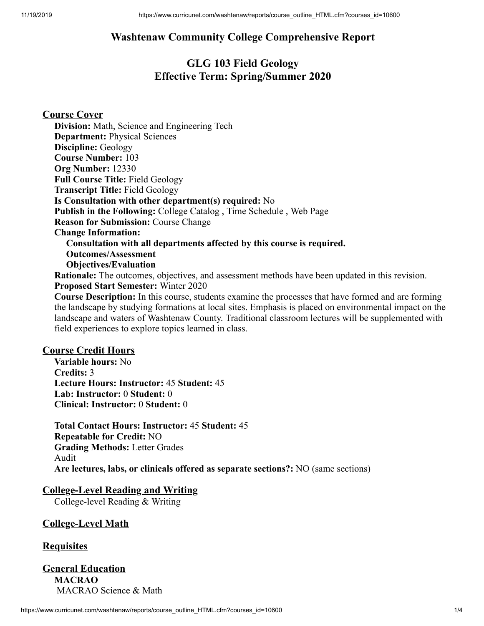# **Washtenaw Community College Comprehensive Report**

# **GLG 103 Field Geology Effective Term: Spring/Summer 2020**

**Course Cover Division:** Math, Science and Engineering Tech **Department:** Physical Sciences **Discipline:** Geology **Course Number:** 103 **Org Number:** 12330 **Full Course Title:** Field Geology **Transcript Title:** Field Geology **Is Consultation with other department(s) required:** No **Publish in the Following:** College Catalog , Time Schedule , Web Page **Reason for Submission:** Course Change **Change Information: Consultation with all departments affected by this course is required. Outcomes/Assessment Objectives/Evaluation Rationale:** The outcomes, objectives, and assessment methods have been updated in this revision. **Proposed Start Semester:** Winter 2020 **Course Description:** In this course, students examine the processes that have formed and are forming

the landscape by studying formations at local sites. Emphasis is placed on environmental impact on the landscape and waters of Washtenaw County. Traditional classroom lectures will be supplemented with field experiences to explore topics learned in class.

## **Course Credit Hours**

**Variable hours:** No **Credits:** 3 **Lecture Hours: Instructor:** 45 **Student:** 45 **Lab: Instructor:** 0 **Student:** 0 **Clinical: Instructor:** 0 **Student:** 0

**Total Contact Hours: Instructor:** 45 **Student:** 45 **Repeatable for Credit:** NO **Grading Methods:** Letter Grades Audit **Are lectures, labs, or clinicals offered as separate sections?:** NO (same sections)

# **College-Level Reading and Writing**

College-level Reading & Writing

## **College-Level Math**

## **Requisites**

## **General Education MACRAO** MACRAO Science & Math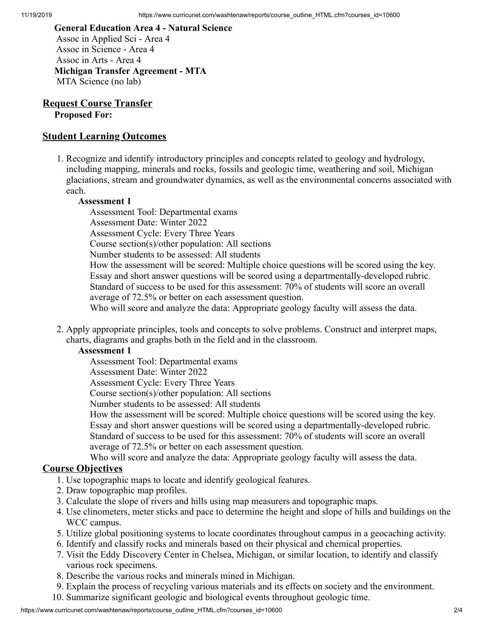**General Education Area 4 - Natural Science** Assoc in Applied Sci - Area 4 Assoc in Science - Area 4 Assoc in Arts - Area 4 **Michigan Transfer Agreement - MTA** MTA Science (no lab)

**Request Course Transfer Proposed For:**

# **Student Learning Outcomes**

1. Recognize and identify introductory principles and concepts related to geology and hydrology, including mapping, minerals and rocks, fossils and geologic time, weathering and soil, Michigan glaciations, stream and groundwater dynamics, as well as the environmental concerns associated with each.

## **Assessment 1**

Assessment Tool: Departmental exams

Assessment Date: Winter 2022

Assessment Cycle: Every Three Years

Course section(s)/other population: All sections

Number students to be assessed: All students

How the assessment will be scored: Multiple choice questions will be scored using the key. Essay and short answer questions will be scored using a departmentally-developed rubric. Standard of success to be used for this assessment: 70% of students will score an overall average of 72.5% or better on each assessment question.

Who will score and analyze the data: Appropriate geology faculty will assess the data.

2. Apply appropriate principles, tools and concepts to solve problems. Construct and interpret maps, charts, diagrams and graphs both in the field and in the classroom.

## **Assessment 1**

Assessment Tool: Departmental exams

Assessment Date: Winter 2022

Assessment Cycle: Every Three Years

Course section(s)/other population: All sections

Number students to be assessed: All students

How the assessment will be scored: Multiple choice questions will be scored using the key. Essay and short answer questions will be scored using a departmentally-developed rubric. Standard of success to be used for this assessment: 70% of students will score an overall average of 72.5% or better on each assessment question.

Who will score and analyze the data: Appropriate geology faculty will assess the data.

# **Course Objectives**

- 1. Use topographic maps to locate and identify geological features.
- 2. Draw topographic map profiles.
- 3. Calculate the slope of rivers and hills using map measurers and topographic maps.
- 4. Use clinometers, meter sticks and pace to determine the height and slope of hills and buildings on the WCC campus.
- 5. Utilize global positioning systems to locate coordinates throughout campus in a geocaching activity.
- 6. Identify and classify rocks and minerals based on their physical and chemical properties.
- 7. Visit the Eddy Discovery Center in Chelsea, Michigan, or similar location, to identify and classify various rock specimens.
- 8. Describe the various rocks and minerals mined in Michigan.
- 9. Explain the process of recycling various materials and its effects on society and the environment.
- 10. Summarize significant geologic and biological events throughout geologic time.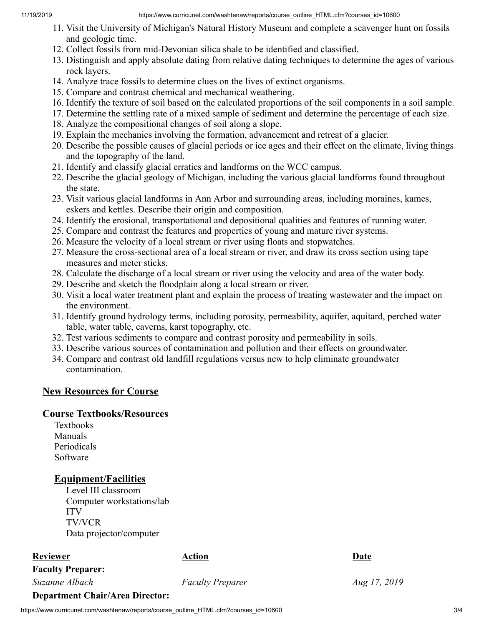- 11. Visit the University of Michigan's Natural History Museum and complete a scavenger hunt on fossils and geologic time.
- 12. Collect fossils from mid-Devonian silica shale to be identified and classified.
- 13. Distinguish and apply absolute dating from relative dating techniques to determine the ages of various rock layers.
- 14. Analyze trace fossils to determine clues on the lives of extinct organisms.
- 15. Compare and contrast chemical and mechanical weathering.
- 16. Identify the texture of soil based on the calculated proportions of the soil components in a soil sample.
- 17. Determine the settling rate of a mixed sample of sediment and determine the percentage of each size.
- 18. Analyze the compositional changes of soil along a slope.
- 19. Explain the mechanics involving the formation, advancement and retreat of a glacier.
- 20. Describe the possible causes of glacial periods or ice ages and their effect on the climate, living things and the topography of the land.
- 21. Identify and classify glacial erratics and landforms on the WCC campus.
- 22. Describe the glacial geology of Michigan, including the various glacial landforms found throughout the state.
- 23. Visit various glacial landforms in Ann Arbor and surrounding areas, including moraines, kames, eskers and kettles. Describe their origin and composition.
- 24. Identify the erosional, transportational and depositional qualities and features of running water.
- 25. Compare and contrast the features and properties of young and mature river systems.
- 26. Measure the velocity of a local stream or river using floats and stopwatches.
- 27. Measure the cross-sectional area of a local stream or river, and draw its cross section using tape measures and meter sticks.
- 28. Calculate the discharge of a local stream or river using the velocity and area of the water body.
- 29. Describe and sketch the floodplain along a local stream or river.
- 30. Visit a local water treatment plant and explain the process of treating wastewater and the impact on the environment.
- 31. Identify ground hydrology terms, including porosity, permeability, aquifer, aquitard, perched water table, water table, caverns, karst topography, etc.
- 32. Test various sediments to compare and contrast porosity and permeability in soils.
- 33. Describe various sources of contamination and pollution and their effects on groundwater.
- 34. Compare and contrast old landfill regulations versus new to help eliminate groundwater contamination.

# **New Resources for Course**

# **Course Textbooks/Resources**

Textbooks Manuals Periodicals Software

# **Equipment/Facilities**

Level III classroom Computer workstations/lab ITV TV/VCR Data projector/computer

# **Reviewer Date Action Action Date**

**Faculty Preparer:**

*Suzanne Albach Faculty Preparer Aug 17, 2019* 

# **Department Chair/Area Director:**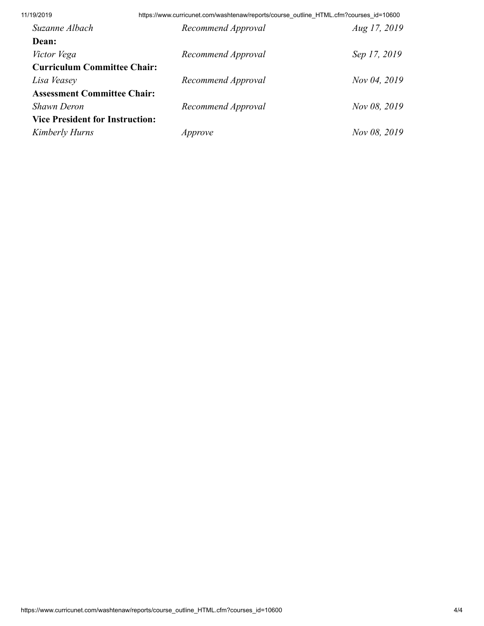11/19/2019 https://www.curricunet.com/washtenaw/reports/course\_outline\_HTML.cfm?courses\_id=10600

| Suzanne Albach                         | Recommend Approval | Aug 17, 2019 |
|----------------------------------------|--------------------|--------------|
| Dean:                                  |                    |              |
| Victor Vega                            | Recommend Approval | Sep 17, 2019 |
| <b>Curriculum Committee Chair:</b>     |                    |              |
| Lisa Veasey                            | Recommend Approval | Nov 04, 2019 |
| <b>Assessment Committee Chair:</b>     |                    |              |
| <b>Shawn Deron</b>                     | Recommend Approval | Nov 08, 2019 |
| <b>Vice President for Instruction:</b> |                    |              |
| Kimberly Hurns                         | Approve            | Nov 08, 2019 |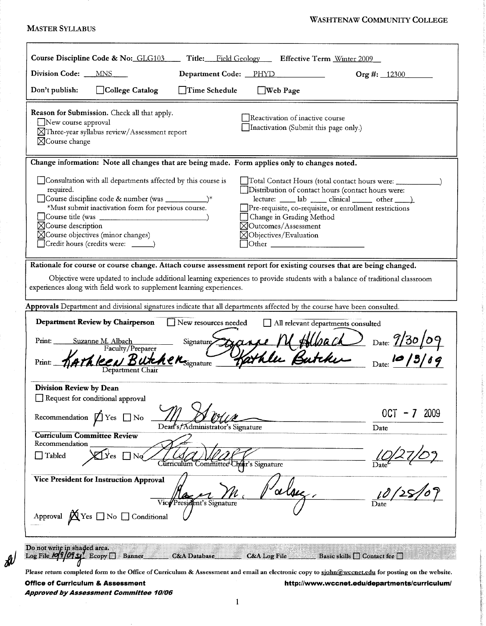### **WASHTENAW COMMUNITY COLLEGE**

#### **MASTER SYLLABUS**

| Course Discipline Code & No: GLG103<br>Title:<br>Field Geology Effective Term Winter 2009                                                                                                                                                                                                                                                                                                                                                                                                                                                                                                                                      |                     |
|--------------------------------------------------------------------------------------------------------------------------------------------------------------------------------------------------------------------------------------------------------------------------------------------------------------------------------------------------------------------------------------------------------------------------------------------------------------------------------------------------------------------------------------------------------------------------------------------------------------------------------|---------------------|
| Division Code: __<br>MNS<br>Department Code: PHYD                                                                                                                                                                                                                                                                                                                                                                                                                                                                                                                                                                              | Org #: $12300$      |
| College Catalog<br>Time Schedule<br>Don't publish:<br>$\Box$ Web Page                                                                                                                                                                                                                                                                                                                                                                                                                                                                                                                                                          |                     |
| Reason for Submission. Check all that apply.<br>Reactivation of inactive course<br>New course approval<br>Inactivation (Submit this page only.)<br>⊠Three-year syllabus review/Assessment report<br>$\boxtimes$ Course change                                                                                                                                                                                                                                                                                                                                                                                                  |                     |
| Change information: Note all changes that are being made. Form applies only to changes noted.                                                                                                                                                                                                                                                                                                                                                                                                                                                                                                                                  |                     |
| Consultation with all departments affected by this course is<br>_Total Contact Hours (total contact hours were: ______<br>required.<br>Distribution of contact hours (contact hours were:<br>$\text{lecture:}$ $\_\_\_\_\$ lab $\_\_\_\$ clinical $\_\_\_\_\$ other $\_\_\_\)_$<br>*Must submit inactivation form for previous course.<br>Pre-requisite, co-requisite, or enrollment restrictions<br>Change in Grading Method<br>$\boxtimes$ Course description<br>$\boxtimes$ Outcomes/Assessment<br>$\boxtimes$ Course objectives (minor changes)<br>$\boxtimes$ Objectives/Evaluation<br>Credit hours (credits were: _____) |                     |
| Rationale for course or course change. Attach course assessment report for existing courses that are being changed.<br>Objective were updated to include additional learning experiences to provide students with a balance of traditional classroom<br>experiences along with field work to supplement learning experiences.                                                                                                                                                                                                                                                                                                  |                     |
| Approvals Department and divisional signatures indicate that all departments affected by the course have been consulted.                                                                                                                                                                                                                                                                                                                                                                                                                                                                                                       |                     |
| <b>Department Review by Chairperson</b><br>New resources needed<br>All relevant departments consulted<br>Signature Dipare M Albach Date: 9/30/09<br>Print:<br>Suzanne M. Albach<br>Faculty/Preparer<br>$l$ eri Butch<br>$\bm{k}$ e $\bm{\kappa}_{\text{signature}}$<br>Print:<br>Department Chair                                                                                                                                                                                                                                                                                                                              |                     |
| Division Review by Dean                                                                                                                                                                                                                                                                                                                                                                                                                                                                                                                                                                                                        |                     |
| Request for conditional approval<br>Recommendation $\Box$ Yes $\Box$ No<br>Dean's/Administrator's Signature<br><b>Curriculum Committee Review</b>                                                                                                                                                                                                                                                                                                                                                                                                                                                                              | 0CT<br>2009<br>Date |
| Recommendation<br>Tabled<br>Nø<br>Yes<br>Curriculum Committee Chair's Signature                                                                                                                                                                                                                                                                                                                                                                                                                                                                                                                                                |                     |
| Vice President for Instruction Approval<br><sup>3</sup> resident's Signature<br>Approval $\bigotimes$ Yes $\Box$ No $\Box$ Conditional                                                                                                                                                                                                                                                                                                                                                                                                                                                                                         |                     |
|                                                                                                                                                                                                                                                                                                                                                                                                                                                                                                                                                                                                                                |                     |
| Do not write in shaded area.<br>Log File $10910951$ Ecopy $\Box$ Banner<br><b>C&amp;A</b> Database<br>C&A Log File<br>Basic skills $\Box$ Contact fee $\Box$                                                                                                                                                                                                                                                                                                                                                                                                                                                                   |                     |

Please return completed form to the Office of Curriculum & Assessment and email an electronic copy to sjohn@wccnet.edu for posting on the website. **Office of Curriculum & Assessment** http://www.wccnet.edu/departments/curriculum/

Approved by Assessment Committee 10/06

 $\frac{\partial}{\partial \theta}$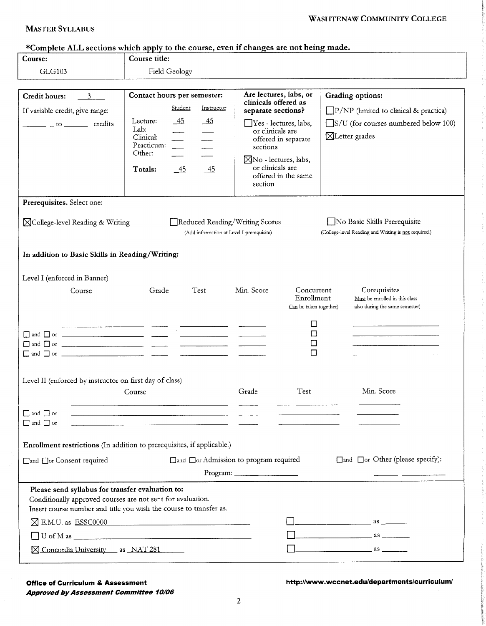## **MASTER SYLLABUS**

| Course:                                                                                                         | Course title:                                                                                                                                           |                                                                                                                                                                                              |                                                                                                                                                     |  |  |
|-----------------------------------------------------------------------------------------------------------------|---------------------------------------------------------------------------------------------------------------------------------------------------------|----------------------------------------------------------------------------------------------------------------------------------------------------------------------------------------------|-----------------------------------------------------------------------------------------------------------------------------------------------------|--|--|
| GLG103                                                                                                          | Field Geology                                                                                                                                           |                                                                                                                                                                                              |                                                                                                                                                     |  |  |
| <b>Credit hours:</b><br>$\overline{\phantom{a}3}$                                                               | Contact hours per semester:                                                                                                                             | Are lectures, labs, or<br>clinicals offered as                                                                                                                                               | <b>Grading options:</b><br>$\Box P/NP$ (limited to clinical & practica)<br>$\Box$ S/U (for courses numbered below 100)<br>$\boxtimes$ Letter grades |  |  |
| If variable credit, give range:<br>$\frac{1}{2}$ to $\frac{1}{2}$ credits                                       | Student<br>Instructor<br>$-45$<br>Lecture:<br>-45<br>Lab:<br>Clinical:<br>Practicum:<br>$\frac{1}{1}$<br>Other:<br>Totals:<br>$-45$<br>$\underline{45}$ | separate sections?<br>Yes - lectures, labs,<br>or clinicals are<br>offered in separate<br>sections<br>$\boxtimes$ No - lectures, labs,<br>or clinicals are<br>offered in the same<br>section |                                                                                                                                                     |  |  |
| Prerequisites. Select one:                                                                                      |                                                                                                                                                         |                                                                                                                                                                                              |                                                                                                                                                     |  |  |
| $\boxtimes$ College-level Reading & Writing                                                                     | Reduced Reading/Writing Scores<br>(Add information at Level I prerequisite)                                                                             |                                                                                                                                                                                              | No Basic Skills Prerequisite<br>(College-level Reading and Writing is not required.)                                                                |  |  |
| In addition to Basic Skills in Reading/Writing:                                                                 |                                                                                                                                                         |                                                                                                                                                                                              |                                                                                                                                                     |  |  |
| Level I (enforced in Banner)<br>Course                                                                          | Test<br>Grade                                                                                                                                           | Min. Score<br>Concurrent<br>Enrollment<br>Can be taken together)<br>□<br>$\Box$<br>$\Box$<br>□                                                                                               | Corequisites<br>Must be enrolled in this class<br>also during the same semester)                                                                    |  |  |
| Level II (enforced by instructor on first day of class)                                                         | Course                                                                                                                                                  | Test<br>Grade                                                                                                                                                                                | Min. Score                                                                                                                                          |  |  |
| $\Box$ and $\Box$ or<br>$\hfill\Box$ and $\hfill\Box$ or                                                        | <u> 1980 - Jan Samuel Barbara, margaret e a contra a contra a contra a contra a contra a contra a contra a con</u>                                      |                                                                                                                                                                                              |                                                                                                                                                     |  |  |
|                                                                                                                 | Enrollment restrictions (In addition to prerequisites, if applicable.)                                                                                  |                                                                                                                                                                                              |                                                                                                                                                     |  |  |
| □and □or Consent required                                                                                       |                                                                                                                                                         | □and □or Admission to program required<br>Program:                                                                                                                                           | □and □or Other (please specify):                                                                                                                    |  |  |
| Please send syllabus for transfer evaluation to:<br>Conditionally approved courses are not sent for evaluation. | Insert course number and title you wish the course to transfer as.                                                                                      |                                                                                                                                                                                              |                                                                                                                                                     |  |  |
|                                                                                                                 | <b>N</b> E.M.U. as ESSC0000                                                                                                                             |                                                                                                                                                                                              | $\overline{\phantom{a}}$ as $\overline{\phantom{a}}$ as $\overline{\phantom{a}}$ as $\overline{\phantom{a}}$                                        |  |  |
|                                                                                                                 |                                                                                                                                                         |                                                                                                                                                                                              | $\overline{\phantom{a}}$ as $\overline{\phantom{a}}$ as $\overline{\phantom{a}}$                                                                    |  |  |
| X Concordia University as NAT 281                                                                               |                                                                                                                                                         |                                                                                                                                                                                              | $\overline{\phantom{a}}$ as $\overline{\phantom{a}}$                                                                                                |  |  |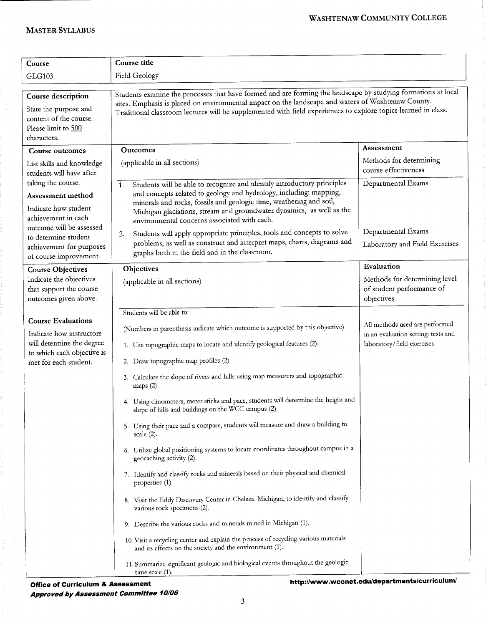| Course                                                                                                                                    | Course title                                                                                                                                                                                                                                                                                                                                                                                                                                                                                                                                                                                                                                                                                                                                                                                                                                                                                                                                                                                                                                                                                                                                                                                                                                               |                                                                                                     |  |  |
|-------------------------------------------------------------------------------------------------------------------------------------------|------------------------------------------------------------------------------------------------------------------------------------------------------------------------------------------------------------------------------------------------------------------------------------------------------------------------------------------------------------------------------------------------------------------------------------------------------------------------------------------------------------------------------------------------------------------------------------------------------------------------------------------------------------------------------------------------------------------------------------------------------------------------------------------------------------------------------------------------------------------------------------------------------------------------------------------------------------------------------------------------------------------------------------------------------------------------------------------------------------------------------------------------------------------------------------------------------------------------------------------------------------|-----------------------------------------------------------------------------------------------------|--|--|
| <b>GLG103</b>                                                                                                                             | Field Geology                                                                                                                                                                                                                                                                                                                                                                                                                                                                                                                                                                                                                                                                                                                                                                                                                                                                                                                                                                                                                                                                                                                                                                                                                                              |                                                                                                     |  |  |
| Course description<br>State the purpose and<br>content of the course.<br>Please limit to 500                                              | Students examine the processes that have formed and are forming the landscape by studying formations at local<br>sites. Emphasis is placed on environmental impact on the landscape and waters of Washtenaw County.<br>Traditional classroom lectures will be supplemented with field experiences to explore topics learned in class.                                                                                                                                                                                                                                                                                                                                                                                                                                                                                                                                                                                                                                                                                                                                                                                                                                                                                                                      |                                                                                                     |  |  |
| characters.                                                                                                                               |                                                                                                                                                                                                                                                                                                                                                                                                                                                                                                                                                                                                                                                                                                                                                                                                                                                                                                                                                                                                                                                                                                                                                                                                                                                            | Assessment                                                                                          |  |  |
| Course outcomes<br>List skills and knowledge<br>students will have after                                                                  | <b>Outcomes</b><br>(applicable in all sections)                                                                                                                                                                                                                                                                                                                                                                                                                                                                                                                                                                                                                                                                                                                                                                                                                                                                                                                                                                                                                                                                                                                                                                                                            | Methods for determining<br>course effectiveness                                                     |  |  |
| taking the course.<br><b>Assessment method</b><br>Indicate how student<br>achievement in each                                             | Students will be able to recognize and identify introductory principles<br>1.<br>and concepts related to geology and hydrology, including: mapping,<br>minerals and rocks, fossils and geologic time, weathering and soil,<br>Michigan glaciations, stream and groundwater dynamics, as well as the<br>environmental concerns associated with each.                                                                                                                                                                                                                                                                                                                                                                                                                                                                                                                                                                                                                                                                                                                                                                                                                                                                                                        | Departmental Exams                                                                                  |  |  |
| outcome will be assessed<br>to determine student<br>achievement for purposes<br>of course improvement.                                    | Students will apply appropriate principles, tools and concepts to solve<br>2.<br>problems, as well as construct and interpret maps, charts, diagrams and<br>graphs both in the field and in the classroom.                                                                                                                                                                                                                                                                                                                                                                                                                                                                                                                                                                                                                                                                                                                                                                                                                                                                                                                                                                                                                                                 | Departmental Exams<br>Laboratory and Field Exercises                                                |  |  |
| <b>Course Objectives</b><br>Indicate the objectives<br>that support the course<br>outcomes given above.                                   | Objectives<br>(applicable in all sections)                                                                                                                                                                                                                                                                                                                                                                                                                                                                                                                                                                                                                                                                                                                                                                                                                                                                                                                                                                                                                                                                                                                                                                                                                 | Evaluation<br>Methods for determining level<br>of student performance of<br>objectives              |  |  |
| <b>Course Evaluations</b><br>Indicate how instructors<br>will determine the degree<br>to which each objective is<br>met for each student. | Students will be able to:<br>(Numbers in parenthesis indicate which outcome is supported by this objective)<br>1. Use topographic maps to locate and identify geological features (2).<br>2. Draw topographic map profiles (2).<br>3. Calculate the slope of rivers and hills using map measurers and topographic<br>maps (2).<br>4. Using clinometers, meter sticks and pace, students will determine the height and<br>slope of hills and buildings on the WCC campus (2).<br>5. Using their pace and a compass, students will measure and draw a building to<br>scale(2).<br>6. Utilize global positioning systems to locate coordinates throughout campus in a<br>geocaching activity (2).<br>7. Identify and classify rocks and minerals based on their physical and chemical<br>properties (1).<br>8. Visit the Eddy Discovery Center in Chelsea, Michigan, to identify and classify<br>various rock specimens (2).<br>9. Describe the various rocks and minerals mined in Michigan (1).<br>10. Visit a recycling center and explain the process of recycling various materials<br>and its effects on the society and the environment (1).<br>11. Summarize significant geologic and biological events throughout the geologic<br>time scale $(1)$ . | All methods used are performed<br>in an evaluation setting: tests and<br>laboratory/field exercises |  |  |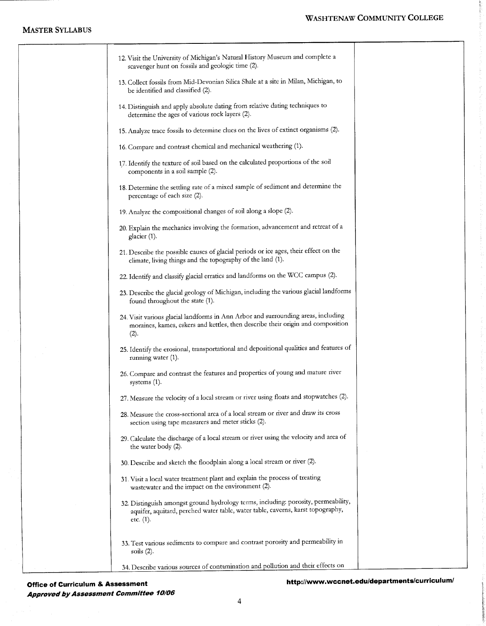### **MASTER SYLLABUS**

## WASHTENAW COMMUNITY COLLEGE

| 12. Visit the University of Michigan's Natural History Museum and complete a<br>scavenger hunt on fossils and geologic time (2).                                                   |
|------------------------------------------------------------------------------------------------------------------------------------------------------------------------------------|
| 13. Collect fossils from Mid-Devonian Silica Shale at a site in Milan, Michigan, to<br>be identified and classified (2).                                                           |
| 14. Distinguish and apply absolute dating from relative dating techniques to<br>determine the ages of various rock layers (2).                                                     |
| 15. Analyze trace fossils to determine clues on the lives of extinct organisms (2).                                                                                                |
| 16. Compare and contrast chemical and mechanical weathering (1).                                                                                                                   |
| 17. Identify the texture of soil based on the calculated proportions of the soil<br>components in a soil sample (2).                                                               |
| 18. Determine the settling rate of a mixed sample of sediment and determine the<br>percentage of each size (2).                                                                    |
| 19. Analyze the compositional changes of soil along a slope (2).                                                                                                                   |
| 20. Explain the mechanics involving the formation, advancement and retreat of a<br>glacier (1).                                                                                    |
| 21. Describe the possible causes of glacial periods or ice ages, their effect on the<br>climate, living things and the topography of the land (1).                                 |
| 22. Identify and classify glacial erratics and landforms on the WCC campus (2).                                                                                                    |
| 23. Describe the glacial geology of Michigan, including the various glacial landforms<br>found throughout the state (1).                                                           |
| 24. Visit various glacial landforms in Ann Arbor and surrounding areas, including<br>moraines, kames, eskers and kettles, then describe their origin and composition<br>(2).       |
| 25. Identify the erosional, transportational and depositional qualities and features of<br>running water (1).                                                                      |
| 26. Compare and contrast the features and properties of young and mature river<br>systems $(1)$ .                                                                                  |
| 27. Measure the velocity of a local stream or river using floats and stopwatches (2).                                                                                              |
| 28. Measure the cross-sectional area of a local stream or river and draw its cross<br>section using tape measurers and meter sticks (2).                                           |
| 29. Calculate the discharge of a local stream or river using the velocity and area of<br>the water body (2).                                                                       |
| 30. Describe and sketch the floodplain along a local stream or river (2).                                                                                                          |
| 31. Visit a local water treatment plant and explain the process of treating<br>wastewater and the impact on the environment (2).                                                   |
| 32. Distinguish amongst ground hydrology terms, including: porosity, permeability,<br>aquifer, aquitard, perched water table, water table, caverns, karst topography,<br>etc. (1). |
| 33. Test various sediments to compare and contrast porosity and permeability in<br>soils $(2)$ .                                                                                   |
| 34. Describe various sources of contamination and pollution and their effects on                                                                                                   |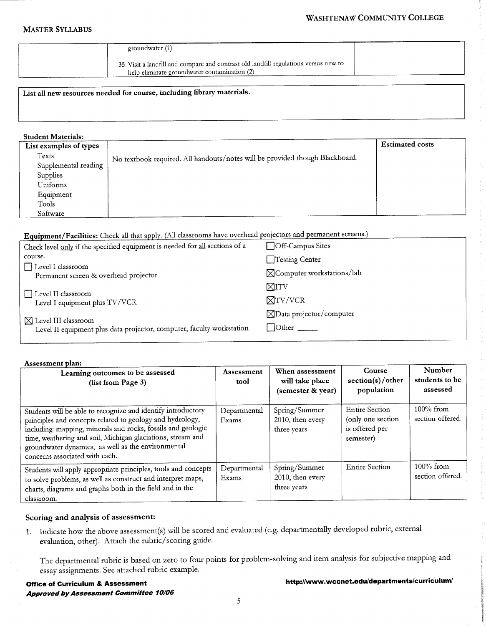## **WASHTENAW COMMUNITY COLLEGE**

#### **MASTER SYLLABUS**

| groundwater (1).                                                                                                                      |  |
|---------------------------------------------------------------------------------------------------------------------------------------|--|
| 35. Visit a landfill and compare and contrast old landfill regulations versus new to<br>help eliminate groundwater contamination (2). |  |

# List all new resources needed for course, including library materials.

### **Student Materials:**

| List examples of types |                                                                              | <b>Estimated costs</b> |
|------------------------|------------------------------------------------------------------------------|------------------------|
| Texts                  | No textbook required. All handouts/notes will be provided though Blackboard. |                        |
| Supplemental reading   |                                                                              |                        |
| Supplies               |                                                                              |                        |
| Uniforms               |                                                                              |                        |
| Equipment              |                                                                              |                        |
| Tools                  |                                                                              |                        |
| Software               |                                                                              |                        |

# Equipment/Facilities: Check all that apply. (All classrooms have overhead projectors and permanent screens.)

| Check level only if the specified equipment is needed for all sections of a                              | □Off-Campus Sites                     |
|----------------------------------------------------------------------------------------------------------|---------------------------------------|
| course.                                                                                                  | Testing Center                        |
| Level I classroom<br>Permanent screen & overhead projector                                               | $\boxtimes$ Computer workstations/lab |
|                                                                                                          | $\boxtimes$ itv                       |
| □ Level II classroom<br>Level I equipment plus TV/VCR                                                    | $\boxtimes$ TV/VCR                    |
|                                                                                                          | $\boxtimes$ Data projector/computer   |
| $\boxtimes$ Level III classroom<br>Level II equipment plus data projector, computer, faculty workstation | $\Box$ Other $\_\_$                   |

#### Assessment plan:

| <i><b>ILSSCSSILLER DIMILI</b></i><br>Learning outcomes to be assessed<br>(list from Page 3)                                                                                                                                                                                                                                                      | <b>Assessment</b><br>tool | When assessment<br>will take place<br>(semester & year) | Course<br>section(s)/other<br>population                                  | Number<br>students to be<br>assessed |
|--------------------------------------------------------------------------------------------------------------------------------------------------------------------------------------------------------------------------------------------------------------------------------------------------------------------------------------------------|---------------------------|---------------------------------------------------------|---------------------------------------------------------------------------|--------------------------------------|
| Students will be able to recognize and identify introductory<br>principles and concepts related to geology and hydrology,<br>including: mapping, minerals and rocks, fossils and geologic<br>time, weathering and soil, Michigan glaciations, stream and<br>groundwater dynamics, as well as the environmental<br>concerns associated with each. | Departmental<br>Exams     | Spring/Summer<br>2010, then every<br>three years        | <b>Entire Section</b><br>(only one section<br>is offered per<br>semester) | $100\%$ from<br>section offered.     |
| Students will apply appropriate principles, tools and concepts<br>to solve problems, as well as construct and interpret maps,<br>charts, diagrams and graphs both in the field and in the<br>classroom.                                                                                                                                          | Departmental<br>Exams     | Spring/Summer<br>2010, then every<br>three years        | <b>Entire Section</b>                                                     | $100\%$ from<br>section offered      |

## Scoring and analysis of assessment:

1. Indicate how the above assessment(s) will be scored and evaluated (e.g. departmentally developed rubric, external evaluation, other). Attach the rubric/scoring guide.

The departmental rubric is based on zero to four points for problem-solving and item analysis for subjective mapping and essay assignments. See attached rubric example.